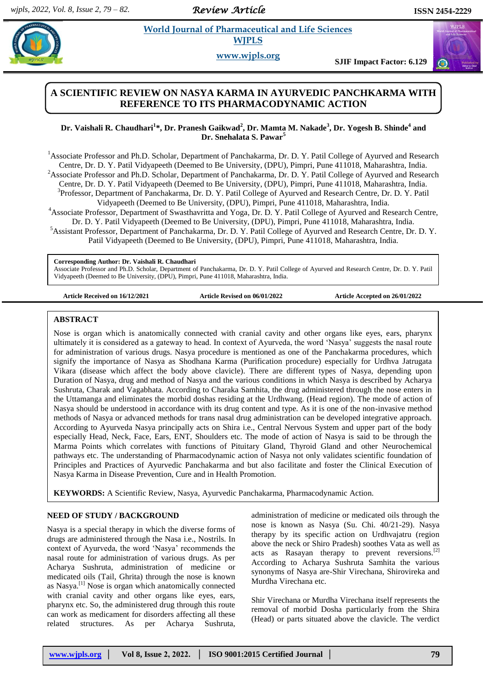*Review Article* 

 $\omega$ 

## **World Journal of Pharmaceutical and Life Sciences WJPLS**

**www.wjpls.org**

**SJIF Impact Factor: 6.129**

# **A SCIENTIFIC REVIEW ON NASYA KARMA IN AYURVEDIC PANCHKARMA WITH REFERENCE TO ITS PHARMACODYNAMIC ACTION**

## **Dr. Vaishali R. Chaudhari<sup>1</sup> \*, Dr. Pranesh Gaikwad<sup>2</sup> , Dr. Mamta M. Nakade<sup>3</sup> , Dr. Yogesh B. Shinde<sup>4</sup> and Dr. Snehalata S. Pawar<sup>5</sup>**

<sup>1</sup>Associate Professor and Ph.D. Scholar, Department of Panchakarma, Dr. D. Y. Patil College of Ayurved and Research Centre, Dr. D. Y. Patil Vidyapeeth (Deemed to Be University, (DPU), Pimpri, Pune 411018, Maharashtra, India. <sup>2</sup>Associate Professor and Ph.D. Scholar, Department of Panchakarma, Dr. D. Y. Patil College of Ayurved and Research Centre, Dr. D. Y. Patil Vidyapeeth (Deemed to Be University, (DPU), Pimpri, Pune 411018, Maharashtra, India. <sup>3</sup>Professor, Department of Panchakarma, Dr. D. Y. Patil College of Ayurved and Research Centre, Dr. D. Y. Patil Vidyapeeth (Deemed to Be University, (DPU), Pimpri, Pune 411018, Maharashtra, India. <sup>4</sup>Associate Professor, Department of Swasthavritta and Yoga, Dr. D. Y. Patil College of Ayurved and Research Centre, Dr. D. Y. Patil Vidyapeeth (Deemed to Be University, (DPU), Pimpri, Pune 411018, Maharashtra, India. <sup>5</sup>Assistant Professor, Department of Panchakarma, Dr. D. Y. Patil College of Ayurved and Research Centre, Dr. D. Y. Patil Vidyapeeth (Deemed to Be University, (DPU), Pimpri, Pune 411018, Maharashtra, India.

#### **Corresponding Author: Dr. Vaishali R. Chaudhari**

Associate Professor and Ph.D. Scholar, Department of Panchakarma, Dr. D. Y. Patil College of Ayurved and Research Centre, Dr. D. Y. Patil Vidyapeeth (Deemed to Be University, (DPU), Pimpri, Pune 411018, Maharashtra, India.

**Article Received on 16/12/2021 Article Revised on 06/01/2022 Article Accepted on 26/01/2022**

#### **ABSTRACT**

Nose is organ which is anatomically connected with cranial cavity and other organs like eyes, ears, pharynx ultimately it is considered as a gateway to head. In context of Ayurveda, the word "Nasya" suggests the nasal route for administration of various drugs. Nasya procedure is mentioned as one of the Panchakarma procedures, which signify the importance of Nasya as Shodhana Karma (Purification procedure) especially for Urdhva Jatrugata Vikara (disease which affect the body above clavicle). There are different types of Nasya, depending upon Duration of Nasya, drug and method of Nasya and the various conditions in which Nasya is described by Acharya Sushruta, Charak and Vagabhata. According to Charaka Samhita, the drug administered through the nose enters in the Uttamanga and eliminates the morbid doshas residing at the Urdhwang. (Head region). The mode of action of Nasya should be understood in accordance with its drug content and type. As it is one of the non-invasive method methods of Nasya or advanced methods for trans nasal drug administration can be developed integrative approach. According to Ayurveda Nasya principally acts on Shira i.e., Central Nervous System and upper part of the body especially Head, Neck, Face, Ears, ENT, Shoulders etc. The mode of action of Nasya is said to be through the Marma Points which correlates with functions of Pituitary Gland, Thyroid Gland and other Neurochemical pathways etc. The understanding of Pharmacodynamic action of Nasya not only validates scientific foundation of Principles and Practices of Ayurvedic Panchakarma and but also facilitate and foster the Clinical Execution of Nasya Karma in Disease Prevention, Cure and in Health Promotion.

**KEYWORDS:** A Scientific Review, Nasya, Ayurvedic Panchakarma, Pharmacodynamic Action.

#### **NEED OF STUDY / BACKGROUND**

Nasya is a special therapy in which the diverse forms of drugs are administered through the Nasa i.e., Nostrils. In context of Ayurveda, the word "Nasya" recommends the nasal route for administration of various drugs. As per Acharya Sushruta, administration of medicine or medicated oils (Tail, Ghrita) through the nose is known as Nasya.[1] Nose is organ which anatomically connected with cranial cavity and other organs like eyes, ears, pharynx etc. So, the administered drug through this route can work as medicament for disorders affecting all these related structures. As per Acharya Sushruta, administration of medicine or medicated oils through the nose is known as Nasya (Su. Chi. 40/21-29). Nasya therapy by its specific action on Urdhvajatru (region above the neck or Shiro Pradesh) soothes Vata as well as acts as Rasayan therapy to prevent reversions.<sup>[2]</sup> According to Acharya Sushruta Samhita the various synonyms of Nasya are-Shir Virechana, Shirovireka and Murdha Virechana etc.

Shir Virechana or Murdha Virechana itself represents the removal of morbid Dosha particularly from the Shira (Head) or parts situated above the clavicle. The verdict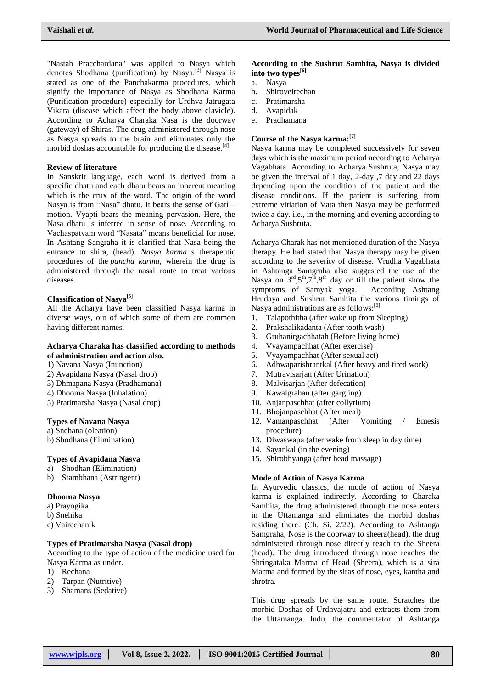"Nastah Pracchardana" was applied to Nasya which denotes Shodhana (purification) by Nasya.<sup>[3]</sup> Nasya is stated as one of the Panchakarma procedures, which signify the importance of Nasya as Shodhana Karma (Purification procedure) especially for Urdhva Jatrugata Vikara (disease which affect the body above clavicle). According to Acharya Charaka Nasa is the doorway (gateway) of Shiras. The drug administered through nose as Nasya spreads to the brain and eliminates only the morbid doshas accountable for producing the disease.<sup>[4]</sup>

#### **Review of literature**

In Sanskrit language, each word is derived from a specific dhatu and each dhatu bears an inherent meaning which is the crux of the word. The origin of the word Nasya is from "Nasa" dhatu. It bears the sense of Gati – motion. Vyapti bears the meaning pervasion. Here, the Nasa dhatu is inferred in sense of nose. According to Vachaspatyam word "Nasata" means beneficial for nose. In Ashtang Sangraha it is clarified that Nasa being the entrance to shira, (head). *Nasya karma* is therapeutic procedures of the *pancha karma*, wherein the drug is administered through the nasal route to treat various diseases.

### **Classification of Nasya[5]**

All the Acharya have been classified Nasya karma in diverse ways, out of which some of them are common having different names.

#### **Acharya Charaka has classified according to methods of administration and action also.**

- 1) Navana Nasya (Inunction)
- 2) Avapidana Nasya (Nasal drop)
- 3) Dhmapana Nasya (Pradhamana)
- 4) Dhooma Nasya (Inhalation)
- 5) Pratimarsha Nasya (Nasal drop)

#### **Types of Navana Nasya**

- a) Snehana (oleation)
- b) Shodhana (Elimination)

## **Types of Avapidana Nasya**

- a) Shodhan (Elimination)
- b) Stambhana (Astringent)

## **Dhooma Nasya**

- a) Prayogika
- b) Snehika
- c) Vairechanik

# **Types of Pratimarsha Nasya (Nasal drop)**

According to the type of action of the medicine used for Nasya Karma as under.

- 1) Rechana
- 2) Tarpan (Nutritive)
- 3) Shamans (Sedative)

### **According to the Sushrut Samhita, Nasya is divided into two types[6]**

- a. Nasya
	- b. Shiroveirechan
	- c. Pratimarsha
	- d. Avapidak
	- e. Pradhamana

## **Course of the Nasya karma:[7]**

Nasya karma may be completed successively for seven days which is the maximum period according to Acharya Vagabhata. According to Acharya Sushruta, Nasya may be given the interval of 1 day, 2-day ,7 day and 22 days depending upon the condition of the patient and the disease conditions. If the patient is suffering from extreme vitiation of Vata then Nasya may be performed twice a day. i.e., in the morning and evening according to Acharya Sushruta.

Acharya Charak has not mentioned duration of the Nasya therapy. He had stated that Nasya therapy may be given according to the severity of disease. Vrudha Vagabhata in Ashtanga Samgraha also suggested the use of the Nasya on  $3<sup>rd</sup>,5<sup>th</sup>,7<sup>th</sup>,8<sup>th</sup>$  day or till the patient show the symptoms of Samyak yoga. According Ashtang Hrudaya and Sushrut Samhita the various timings of Nasya administrations are as follows:<sup>[8]</sup>

- 1. Talapothitha (after wake up from Sleeping)
- 2. Prakshalikadanta (After tooth wash)
- 3. Gruhanirgachhatah (Before living home)
- 4. Vyayampachhat (After exercise)
- 5. Vyayampachhat (After sexual act)
- 6. Adhwaparishrantkal (After heavy and tired work)
- 7. Mutravisarjan (After Urination)
- 8. Malvisarjan (After defecation)
- 9. Kawalgrahan (after gargling)
- 10. Anjanpaschhat (after collyrium)
- 11. Bhojanpaschhat (After meal)
- 12. Vamanpaschhat (After Vomiting / Emesis procedure)
- 13. Diwaswapa (after wake from sleep in day time)
- 14. Sayankal (in the evening)
- 15. Shirobhyanga (after head massage)

#### **Mode of Action of Nasya Karma**

In Ayurvedic classics, the mode of action of Nasya karma is explained indirectly. According to Charaka Samhita, the drug administered through the nose enters in the Uttamanga and eliminates the morbid doshas residing there. (Ch. Si. 2/22). According to Ashtanga Samgraha, Nose is the doorway to sheera(head), the drug administered through nose directly reach to the Sheera (head). The drug introduced through nose reaches the Shringataka Marma of Head (Sheera), which is a sira Marma and formed by the siras of nose, eyes, kantha and shrotra.

This drug spreads by the same route. Scratches the morbid Doshas of Urdhvajatru and extracts them from the Uttamanga. Indu, the commentator of Ashtanga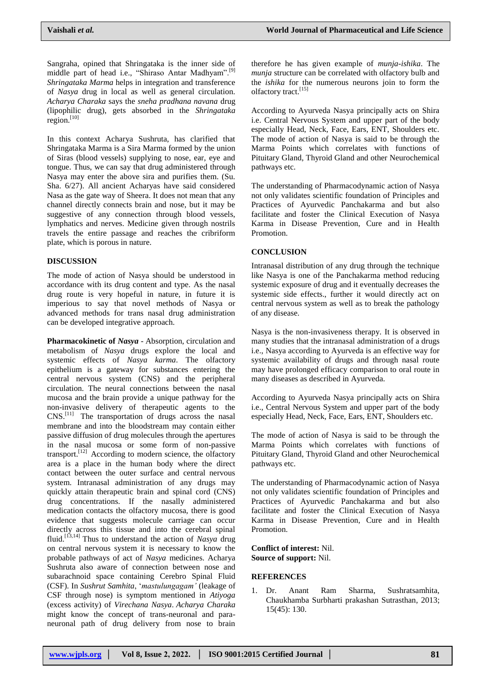Sangraha, opined that Shringataka is the inner side of middle part of head i.e., "Shiraso Antar Madhyam".[9] *Shringataka Marma* helps in integration and transference of *Nasya* drug in local as well as general circulation. *Acharya Charaka* says the *sneha pradhana navana* drug (lipophilic drug), gets absorbed in the *Shringataka* region. $[10]$ 

In this context Acharya Sushruta, has clarified that Shringataka Marma is a Sira Marma formed by the union of Siras (blood vessels) supplying to nose, ear, eye and tongue. Thus, we can say that drug administered through Nasya may enter the above sira and purifies them. (Su. Sha. 6/27). All ancient Acharyas have said considered Nasa as the gate way of Sheera. It does not mean that any channel directly connects brain and nose, but it may be suggestive of any connection through blood vessels, lymphatics and nerves. Medicine given through nostrils travels the entire passage and reaches the cribriform plate, which is porous in nature.

## **DISCUSSION**

The mode of action of Nasya should be understood in accordance with its drug content and type. As the nasal drug route is very hopeful in nature, in future it is imperious to say that novel methods of Nasya or advanced methods for trans nasal drug administration can be developed integrative approach.

**Pharmacokinetic of** *Nasya* - Absorption, circulation and metabolism of *Nasya* drugs explore the local and systemic effects of *Nasya karma*. The olfactory epithelium is a gateway for substances entering the central nervous system (CNS) and the peripheral circulation. The neural connections between the nasal mucosa and the brain provide a unique pathway for the non-invasive delivery of therapeutic agents to the CNS.[11] The transportation of drugs across the nasal membrane and into the bloodstream may contain either passive diffusion of drug molecules through the apertures in the nasal mucosa or some form of non-passive transport.<sup>[12]</sup> According to modern science, the olfactory area is a place in the human body where the direct contact between the outer surface and central nervous system. Intranasal administration of any drugs may quickly attain therapeutic brain and spinal cord (CNS) drug concentrations. If the nasally administered medication contacts the olfactory mucosa, there is good evidence that suggests molecule carriage can occur directly across this tissue and into the cerebral spinal fluid.[13,14] Thus to understand the action of *Nasya* drug on central nervous system it is necessary to know the probable pathways of act of *Nasya* medicines. Acharya Sushruta also aware of connection between nose and subarachnoid space containing Cerebro Spinal Fluid (CSF). In *Sushrut Samhita*, "*mastulungagam'* (leakage of CSF through nose) is symptom mentioned in *Atiyoga* (excess activity) of *Virechana Nasya*. *Acharya Charaka* might know the concept of trans-neuronal and paraneuronal path of drug delivery from nose to brain

therefore he has given example of *munja-ishika*. The *munja* structure can be correlated with olfactory bulb and the *ishika* for the numerous neurons join to form the olfactory tract.[15]

According to Ayurveda Nasya principally acts on Shira i.e. Central Nervous System and upper part of the body especially Head, Neck, Face, Ears, ENT, Shoulders etc. The mode of action of Nasya is said to be through the Marma Points which correlates with functions of Pituitary Gland, Thyroid Gland and other Neurochemical pathways etc.

The understanding of Pharmacodynamic action of Nasya not only validates scientific foundation of Principles and Practices of Ayurvedic Panchakarma and but also facilitate and foster the Clinical Execution of Nasya Karma in Disease Prevention, Cure and in Health Promotion.

## **CONCLUSION**

Intranasal distribution of any drug through the technique like Nasya is one of the Panchakarma method reducing systemic exposure of drug and it eventually decreases the systemic side effects., further it would directly act on central nervous system as well as to break the pathology of any disease.

Nasya is the non-invasiveness therapy. It is observed in many studies that the intranasal administration of a drugs i.e., Nasya according to Ayurveda is an effective way for systemic availability of drugs and through nasal route may have prolonged efficacy comparison to oral route in many diseases as described in Ayurveda.

According to Ayurveda Nasya principally acts on Shira i.e., Central Nervous System and upper part of the body especially Head, Neck, Face, Ears, ENT, Shoulders etc.

The mode of action of Nasya is said to be through the Marma Points which correlates with functions of Pituitary Gland, Thyroid Gland and other Neurochemical pathways etc.

The understanding of Pharmacodynamic action of Nasya not only validates scientific foundation of Principles and Practices of Ayurvedic Panchakarma and but also facilitate and foster the Clinical Execution of Nasya Karma in Disease Prevention, Cure and in Health Promotion.

**Conflict of interest:** Nil. **Source of support:** Nil.

## **REFERENCES**

1. Dr. Anant Ram Sharma, Sushratsamhita, Chaukhamba Surbharti prakashan Sutrasthan, 2013; 15(45): 130.